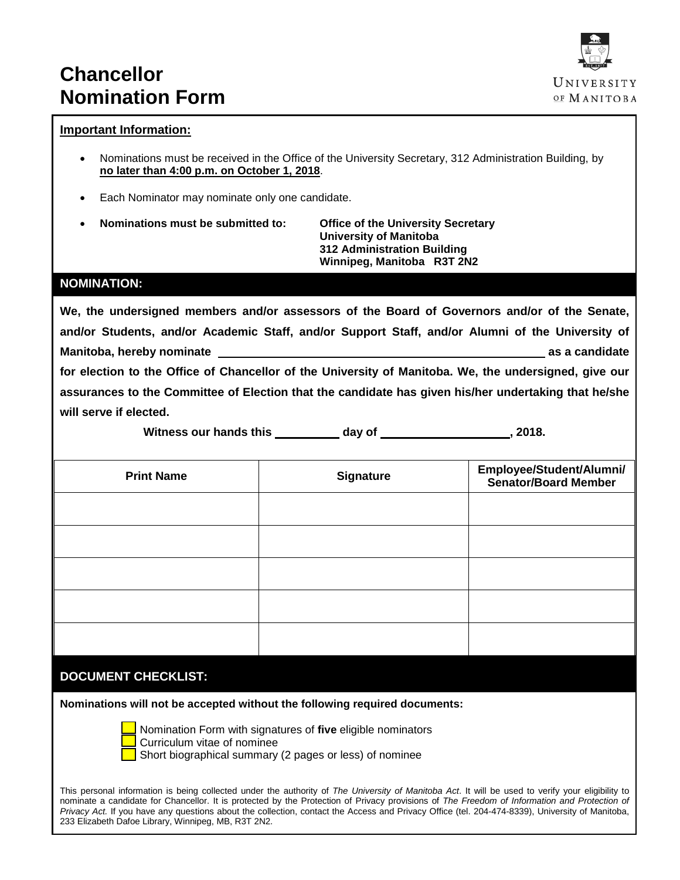# **Chancellor Nomination Form**



## **Important Information:**

- Nominations must be received in the Office of the University Secretary, 312 Administration Building, by **no later than 4:00 p.m. on October 1, 2018**.
- Each Nominator may nominate only one candidate.
- **Nominations must be submitted to: Office of the University Secretary**

**University of Manitoba 312 Administration Building Winnipeg, Manitoba R3T 2N2**

## **NOMINATION:**

**We, the undersigned members and/or assessors of the Board of Governors and/or of the Senate, and/or Students, and/or Academic Staff, and/or Support Staff, and/or Alumni of the University of Manitoba, hereby nominate as a candidate for election to the Office of Chancellor of the University of Manitoba. We, the undersigned, give our assurances to the Committee of Election that the candidate has given his/her undertaking that he/she will serve if elected.**

Witness our hands this day of  $\qquad \qquad$ , 2018.

| <b>Print Name</b> | <b>Signature</b> | Employee/Student/Alumni/<br>Senator/Board Member |
|-------------------|------------------|--------------------------------------------------|
|                   |                  |                                                  |
|                   |                  |                                                  |
|                   |                  |                                                  |
|                   |                  |                                                  |
|                   |                  |                                                  |

# **DOCUMENT CHECKLIST:**

**Nominations will not be accepted without the following required documents:**



Nomination Form with signatures of **five** eligible nominators Curriculum vitae of nominee Short biographical summary (2 pages or less) of nominee

This personal information is being collected under the authority of *The University of Manitoba Act*. It will be used to verify your eligibility to nominate a candidate for Chancellor. It is protected by the Protection of Privacy provisions of *The Freedom of Information and Protection of Privacy Act.* If you have any questions about the collection, contact the Access and Privacy Office (tel. 204-474-8339), University of Manitoba, 233 Elizabeth Dafoe Library, Winnipeg, MB, R3T 2N2.